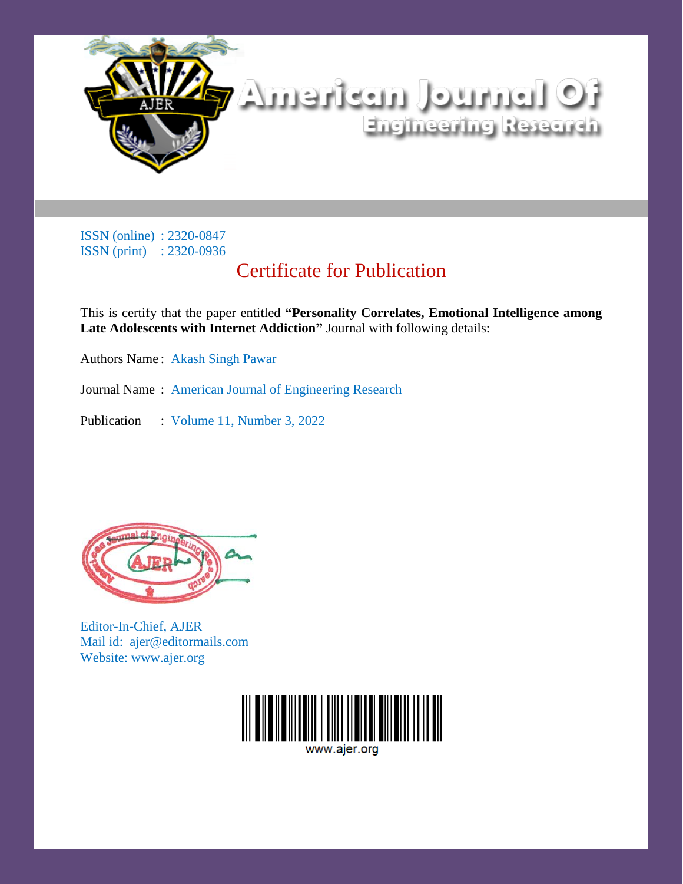

# Certificate for Publication

This is certify that the paper entitled **"Personality Correlates, Emotional Intelligence among Late Adolescents with Internet Addiction"** Journal with following details:

Authors Name : Akash Singh Pawar

Journal Name : American Journal of Engineering Research

Publication : Volume 11, Number 3, 2022



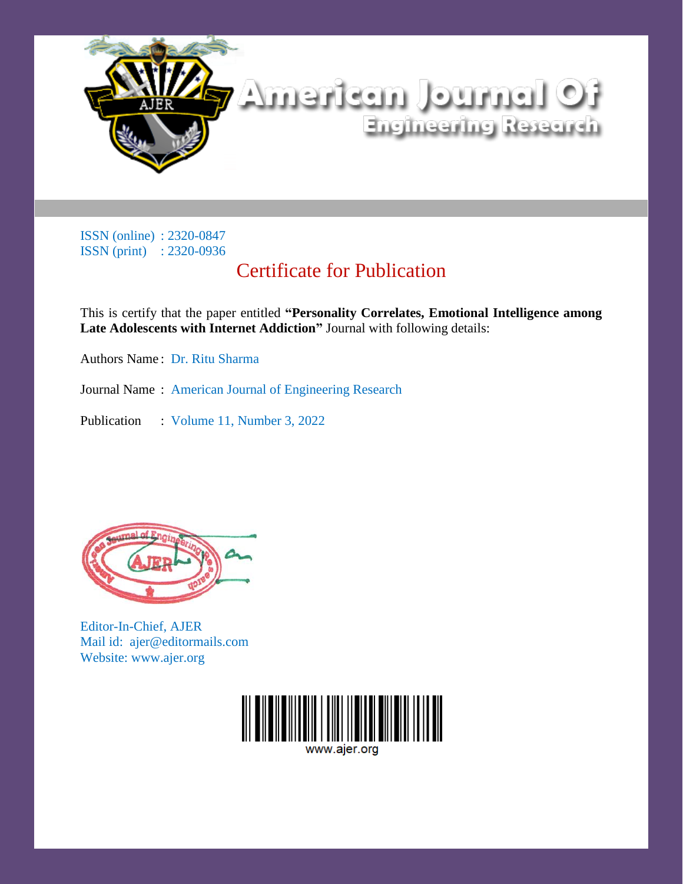

# Certificate for Publication

This is certify that the paper entitled **"Personality Correlates, Emotional Intelligence among Late Adolescents with Internet Addiction"** Journal with following details:

Authors Name : Dr. Ritu Sharma

Journal Name : American Journal of Engineering Research

Publication : Volume 11, Number 3, 2022



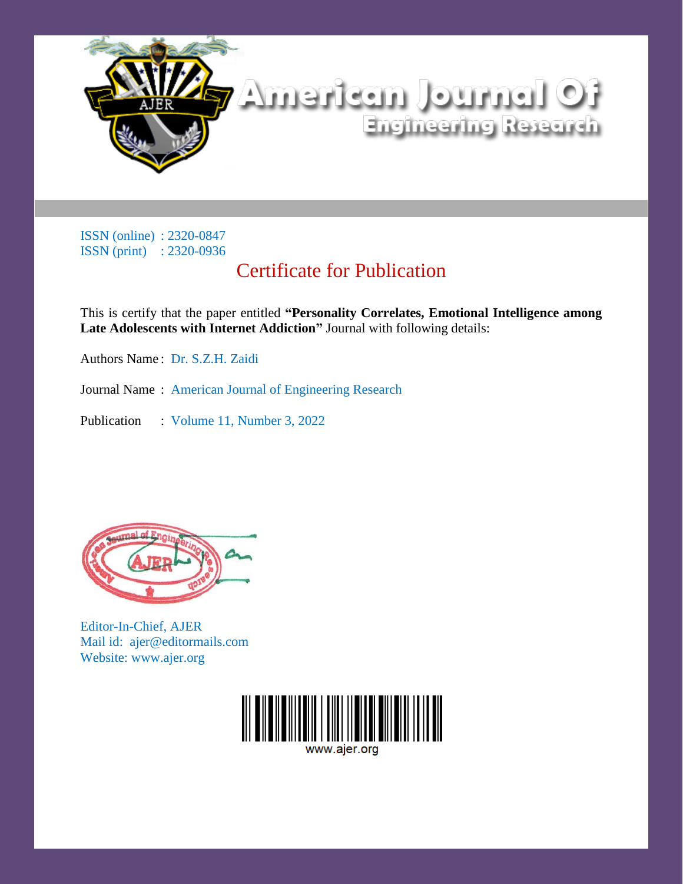

# Certificate for Publication

This is certify that the paper entitled **"Personality Correlates, Emotional Intelligence among Late Adolescents with Internet Addiction"** Journal with following details:

Authors Name : Dr. S.Z.H. Zaidi

Journal Name : American Journal of Engineering Research

Publication : Volume 11, Number 3, 2022



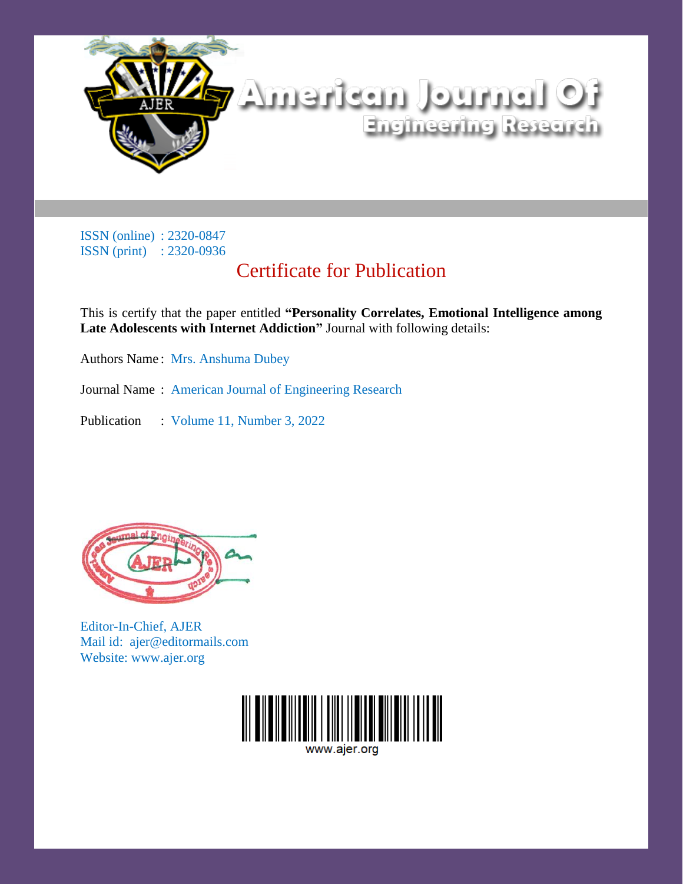

# Certificate for Publication

This is certify that the paper entitled **"Personality Correlates, Emotional Intelligence among Late Adolescents with Internet Addiction"** Journal with following details:

Authors Name : Mrs. Anshuma Dubey

Journal Name : American Journal of Engineering Research

Publication : Volume 11, Number 3, 2022



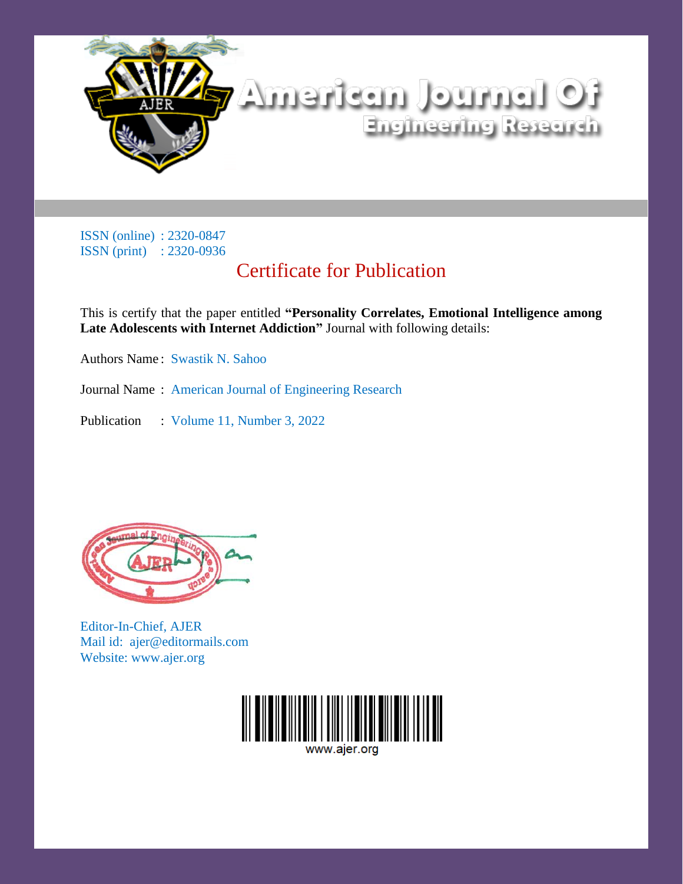

# Certificate for Publication

This is certify that the paper entitled **"Personality Correlates, Emotional Intelligence among Late Adolescents with Internet Addiction"** Journal with following details:

Authors Name : Swastik N. Sahoo

Journal Name : American Journal of Engineering Research

Publication : Volume 11, Number 3, 2022